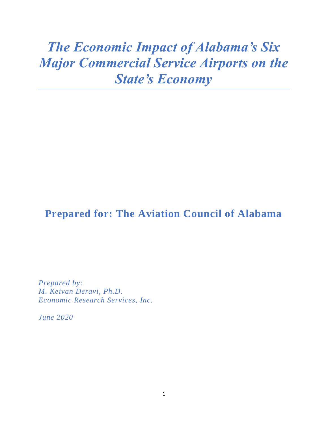# *The Economic Impact of Alabama's Six Major Commercial Service Airports on the State's Economy*

# **Prepared for: The Aviation Council of Alabama**

*Prepared by: M. Keivan Deravi, Ph.D. Economic Research Services, Inc.*

*June 2020*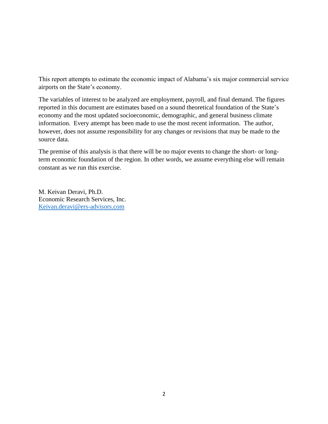This report attempts to estimate the economic impact of Alabama's six major commercial service airports on the State's economy.

The variables of interest to be analyzed are employment, payroll, and final demand. The figures reported in this document are estimates based on a sound theoretical foundation of the State's economy and the most updated socioeconomic, demographic, and general business climate information. Every attempt has been made to use the most recent information. The author, however, does not assume responsibility for any changes or revisions that may be made to the source data.

The premise of this analysis is that there will be no major events to change the short- or longterm economic foundation of the region. In other words, we assume everything else will remain constant as we run this exercise.

M. Keivan Deravi, Ph.D. Economic Research Services, Inc. [Keivan.deravi@ers-advisors.com](mailto:Keivan.deravi@ers-advisors.com)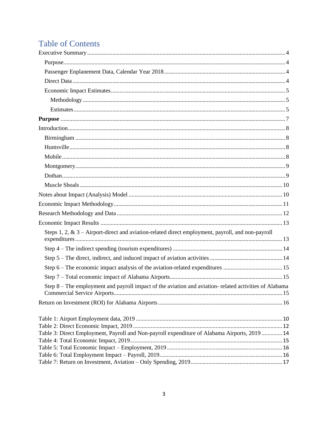# **Table of Contents**

| Steps 1, 2, & $3 -$ Airport-direct and aviation-related direct employment, payroll, and non-payroll   |  |
|-------------------------------------------------------------------------------------------------------|--|
|                                                                                                       |  |
|                                                                                                       |  |
|                                                                                                       |  |
|                                                                                                       |  |
| Step 8 – The employment and payroll impact of the aviation and aviation-related activities of Alabama |  |
|                                                                                                       |  |
|                                                                                                       |  |
|                                                                                                       |  |
| Table 3: Direct Employment, Payroll and Non-payroll expenditure of Alabama Airports, 2019  14         |  |
|                                                                                                       |  |
|                                                                                                       |  |
|                                                                                                       |  |
|                                                                                                       |  |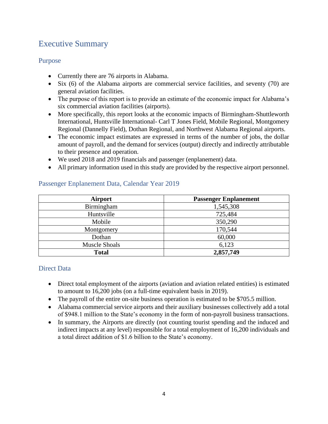# <span id="page-3-0"></span>Executive Summary

#### <span id="page-3-1"></span>Purpose

- Currently there are 76 airports in Alabama.
- Six (6) of the Alabama airports are commercial service facilities, and seventy (70) are general aviation facilities.
- The purpose of this report is to provide an estimate of the economic impact for Alabama's six commercial aviation facilities (airports).
- More specifically, this report looks at the economic impacts of Birmingham-Shuttleworth International, Huntsville International- Carl T Jones Field, Mobile Regional, Montgomery Regional (Dannelly Field), Dothan Regional, and Northwest Alabama Regional airports.
- The economic impact estimates are expressed in terms of the number of jobs, the dollar amount of payroll, and the demand for services (output) directly and indirectly attributable to their presence and operation.
- We used 2018 and 2019 financials and passenger (enplanement) data.
- All primary information used in this study are provided by the respective airport personnel.

| <b>Airport</b>       | <b>Passenger Enplanement</b> |
|----------------------|------------------------------|
| Birmingham           | 1,545,308                    |
| Huntsville           | 725,484                      |
| Mobile               | 350,290                      |
| Montgomery           | 170,544                      |
| Dothan               | 60,000                       |
| <b>Muscle Shoals</b> | 6,123                        |
| <b>Total</b>         | 2,857,749                    |

#### <span id="page-3-2"></span>Passenger Enplanement Data, Calendar Year 2019

#### <span id="page-3-3"></span>Direct Data

- Direct total employment of the airports (aviation and aviation related entities) is estimated to amount to 16,200 jobs (on a full-time equivalent basis in 2019).
- The payroll of the entire on-site business operation is estimated to be \$705.5 million.
- Alabama commercial service airports and their auxiliary businesses collectively add a total of \$948.1 million to the State's economy in the form of non-payroll business transactions.
- In summary, the Airports are directly (not counting tourist spending and the induced and indirect impacts at any level) responsible for a total employment of 16,200 individuals and a total direct addition of \$1.6 billion to the State's economy.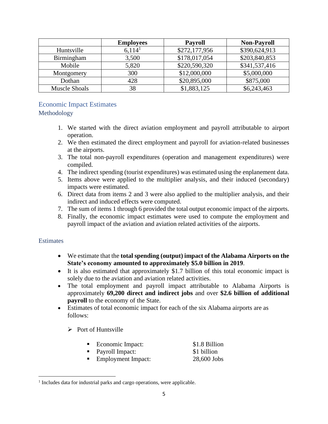|                      | <b>Employees</b>   | <b>Payroll</b> | <b>Non-Payroll</b> |
|----------------------|--------------------|----------------|--------------------|
| Huntsville           | 6,114 <sup>1</sup> | \$272,177,956  | \$390,624,913      |
| Birmingham           | 3,500              | \$178,017,054  | \$203,840,853      |
| Mobile               | 5,820              | \$220,590,320  | \$341,537,416      |
| Montgomery           | 300                | \$12,000,000   | \$5,000,000        |
| Dothan               | 428                | \$20,895,000   | \$875,000          |
| <b>Muscle Shoals</b> | 38                 | \$1,883,125    | \$6,243,463        |

#### <span id="page-4-0"></span>Economic Impact Estimates

<span id="page-4-1"></span>Methodology

- 1. We started with the direct aviation employment and payroll attributable to airport operation.
- 2. We then estimated the direct employment and payroll for aviation-related businesses at the airports.
- 3. The total non-payroll expenditures (operation and management expenditures) were compiled.
- 4. The indirect spending (tourist expenditures) was estimated using the enplanement data.
- 5. Items above were applied to the multiplier analysis, and their induced (secondary) impacts were estimated.
- 6. Direct data from items 2 and 3 were also applied to the multiplier analysis, and their indirect and induced effects were computed.
- 7. The sum of items 1 through 6 provided the total output economic impact of the airports.
- 8. Finally, the economic impact estimates were used to compute the employment and payroll impact of the aviation and aviation related activities of the airports.

#### <span id="page-4-2"></span>**Estimates**

- We estimate that the **total spending (output) impact of the Alabama Airports on the State's economy amounted to approximately \$5.0 billion in 2019**.
- It is also estimated that approximately \$1.7 billion of this total economic impact is solely due to the aviation and aviation related activities.
- The total employment and payroll impact attributable to Alabama Airports is approximately **69,200 direct and indirect jobs** and over **\$2.6 billion of additional payroll** to the economy of the State.
- Estimates of total economic impact for each of the six Alabama airports are as follows:
	- $\triangleright$  Port of Huntsville

|  | Economic Impact: | \$1.8 Billion |
|--|------------------|---------------|
|--|------------------|---------------|

- Payroll Impact: \$1 billion
	- Employment Impact: 28,600 Jobs

<sup>&</sup>lt;sup>1</sup> Includes data for industrial parks and cargo operations, were applicable.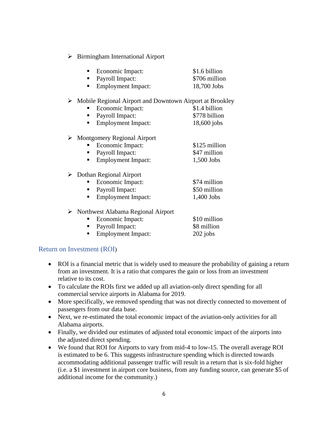➢ Birmingham International Airport

| $\blacksquare$ | Economic Impact: | \$1.6 billion              |
|----------------|------------------|----------------------------|
|                | Payroll Impact:  | \$706 million              |
|                |                  | $\cdots$ $\cdots$ $\cdots$ |

■ Employment Impact: 18,700 Jobs

#### ➢ Mobile Regional Airport and Downtown Airport at Brookley

- Economic Impact: \$1.4 billion
- Payroll Impact: \$778 billion
- Employment Impact: 18,600 jobs

#### ➢ Montgomery Regional Airport

- Economic Impact: \$125 million
- Payroll Impact: \$47 million
- Employment Impact: 1,500 Jobs

#### ➢ Dothan Regional Airport

- Economic Impact: \$74 million
- Payroll Impact: \$50 million
- Employment Impact: 1,400 Jobs

#### ➢ Northwest Alabama Regional Airport

- Economic Impact: \$10 million ■ Payroll Impact: \$8 million
- Employment Impact: 202 jobs

#### Return on Investment (ROI)

- ROI is a financial metric that is widely used to measure the probability of gaining a return from an investment. It is a ratio that compares the gain or loss from an investment relative to its cost.
- To calculate the ROIs first we added up all aviation-only direct spending for all commercial service airports in Alabama for 2019.
- More specifically, we removed spending that was not directly connected to movement of passengers from our data base.
- Next, we re-estimated the total economic impact of the aviation-only activities for all Alabama airports.
- Finally, we divided our estimates of adjusted total economic impact of the airports into the adjusted direct spending.
- We found that ROI for Airports to vary from mid-4 to low-15. The overall average ROI is estimated to be 6. This suggests infrastructure spending which is directed towards accommodating additional passenger traffic will result in a return that is six-fold higher (i.e. a \$1 investment in airport core business, from any funding source, can generate \$5 of additional income for the community.)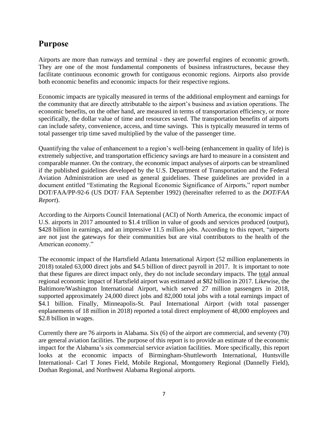# <span id="page-6-0"></span>**Purpose**

Airports are more than runways and terminal - they are powerful engines of economic growth. They are one of the most fundamental components of business infrastructures, because they facilitate continuous economic growth for contiguous economic regions. Airports also provide both economic benefits and economic impacts for their respective regions.

Economic impacts are typically measured in terms of the additional employment and earnings for the community that are directly attributable to the airport's business and aviation operations. The economic benefits, on the other hand, are measured in terms of transportation efficiency, or more specifically, the dollar value of time and resources saved. The transportation benefits of airports can include safety, convenience, access, and time savings. This is typically measured in terms of total passenger trip time saved multiplied by the value of the passenger time.

Quantifying the value of enhancement to a region's well-being (enhancement in quality of life) is extremely subjective, and transportation efficiency savings are hard to measure in a consistent and comparable manner. On the contrary, the economic impact analyses of airports can be streamlined if the published guidelines developed by the U.S. Department of Transportation and the Federal Aviation Administration are used as general guidelines. These guidelines are provided in a document entitled "Estimating the Regional Economic Significance of Airports," report number DOT/FAA/PP-92-6 (US DOT/ FAA September 1992) (hereinafter referred to as the *DOT/FAA Report*).

According to the Airports Council International (ACI) of North America, the economic impact of U.S. airports in 2017 amounted to \$1.4 trillion in value of goods and services produced (output), \$428 billion in earnings, and an impressive 11.5 million jobs. According to this report, "airports" are not just the gateways for their communities but are vital contributors to the health of the American economy."

The economic impact of the Hartsfield Atlanta International Airport (52 million enplanements in 2018) totaled 63,000 direct jobs and \$4.5 billion of direct payroll in 2017. It is important to note that these figures are direct impact only, they do not include secondary impacts. The total annual regional economic impact of Hartsfield airport was estimated at \$82 billion in 2017. Likewise, the Baltimore/Washington International Airport, which served 27 million passengers in 2018, supported approximately 24,000 direct jobs and 82,000 total jobs with a total earnings impact of \$4.1 billion. Finally, Minneapolis-St. Paul International Airport (with total passenger enplanements of 18 million in 2018) reported a total direct employment of 48,000 employees and \$2.8 billion in wages.

Currently there are 76 airports in Alabama. Six (6) of the airport are commercial, and seventy (70) are general aviation facilities. The purpose of this report is to provide an estimate of the economic impact for the Alabama's six commercial service aviation facilities. More specifically, this report looks at the economic impacts of Birmingham-Shuttleworth International, Huntsville International- Carl T Jones Field, Mobile Regional, Montgomery Regional (Dannelly Field), Dothan Regional, and Northwest Alabama Regional airports.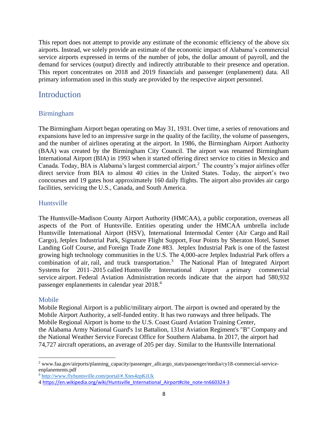This report does not attempt to provide any estimate of the economic efficiency of the above six airports. Instead, we solely provide an estimate of the economic impact of Alabama's commercial service airports expressed in terms of the number of jobs, the dollar amount of payroll, and the demand for services (output) directly and indirectly attributable to their presence and operation. This report concentrates on 2018 and 2019 financials and passenger (enplanement) data. All primary information used in this study are provided by the respective airport personnel.

### <span id="page-7-1"></span><span id="page-7-0"></span>**Introduction**

#### Birmingham

The Birmingham Airport began operating on May 31, 1931. Over time, a series of renovations and expansions have led to an impressive surge in the quality of the facility, the volume of passengers, and the number of airlines operating at the airport. In 1986, the Birmingham Airport Authority (BAA) was created by the Birmingham City Council. The airport was renamed Birmingham International Airport (BIA) in 1993 when it started offering direct service to cities in Mexico and Canada. Today, BIA is Alabama's largest commercial airport.<sup>2</sup> The country's major airlines offer direct service from BIA to almost 40 cities in the United States. Today, the airport's two concourses and 19 gates host approximately 160 daily flights. The airport also provides air cargo facilities, servicing the U.S., Canada, and South America.

#### <span id="page-7-2"></span>Huntsville

The Huntsville-Madison County Airport Authority (HMCAA), a public corporation, overseas all aspects of the Port of Huntsville. Entities operating under the HMCAA umbrella include [Huntsville International Airport \(HSV\),](http://www.flyhuntsville.com/) International Intermodal Center [\(Air Cargo](http://www.flyhuntsville.com/air-cargo/) and [Rail](http://www.flyhuntsville.com/rail-cargo/)  [Cargo\)](http://www.flyhuntsville.com/rail-cargo/), [Jetplex Industrial Park,](http://www.flyhuntsville.com/jip/) [Signature Flight Support,](http://www.flyhuntsville.com/hsv/fbo-signature/) [Four Points by Sheraton Hotel,](http://www.flyhuntsville.com/hsv/four-points-by-sheraton/) [Sunset](http://www.flyhuntsville.com/hsv/sunset-landing-golf-course/)  [Landing Golf Course,](http://www.flyhuntsville.com/hsv/sunset-landing-golf-course/) and [Foreign Trade Zone #83.](http://www.flyhuntsville.com/air-cargo/foreign-trade-zone-83/) Jetplex Industrial Park is one of the fastest growing high technology communities in the U.S. The 4,000-acre Jetplex Industrial Park offers a combination of [air,](http://www.flyhuntsville.com/air-cargo/) [rail, and truck transportation.](http://www.flyhuntsville.com/rail-cargo/)<sup>3</sup> The National Plan of Integrated Airport [Systems](https://en.wikipedia.org/wiki/National_Plan_of_Integrated_Airport_Systems) for 2011–2015 [called](https://en.wikipedia.org/wiki/FAA_airport_categories) Huntsville International Airport a primary commercial service airport. [Federal Aviation Administration](https://en.wikipedia.org/wiki/Federal_Aviation_Administration) records indicate that the airport had 580,932 passenger enplanements in [calendar year](https://en.wikipedia.org/wiki/Calendar_year) 2018.<sup>4</sup>

#### <span id="page-7-3"></span>Mobile

Mobile Regional Airport is a public/military airport. The airport is owned and operated by the Mobile Airport Authority, a self-funded entity. It has two runways and three [helipads.](https://en.wikipedia.org/wiki/Helipad) The Mobile Regional Airport is home to the [U.S. Coast Guard Aviation Training Center,](https://en.wikipedia.org/wiki/Coast_Guard_Aviation_Training_Center) the [Alabama Army National Guard's](https://en.wikipedia.org/wiki/Alabama_Army_National_Guard) [1st Battalion, 131st Aviation Regiment'](https://en.wikipedia.org/wiki/1st_Battalion,_131st_Aviation_Regiment)s "B" Company and the [National Weather Service](https://en.wikipedia.org/wiki/National_Weather_Service) Forecast Office for Southern Alabama. In 2017, the airport had 74,727 aircraft operations, an average of 205 per day. Similar to the Huntsville International

<sup>&</sup>lt;sup>2</sup> www.faa.gov/airports/planning\_capacity/passenger\_allcargo\_stats/passenger/media/cy18-commercial-serviceenplanements.pdf

<sup>3</sup> <http://www.flyhuntsville.com/portal/#.Xtes4zpKiUk>

<sup>4</sup> [https://en.wikipedia.org/wiki/Huntsville\\_International\\_Airport#cite\\_note-tn660324-3](https://en.wikipedia.org/wiki/Huntsville_International_Airport#cite_note-tn660324-3)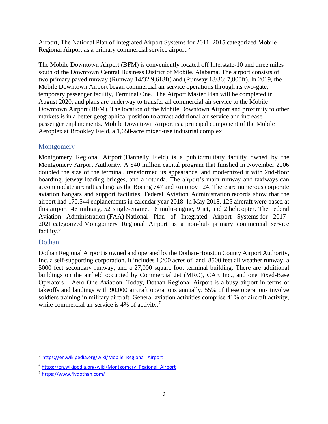Airport, The [National Plan of Integrated Airport Systems](https://en.wikipedia.org/wiki/National_Plan_of_Integrated_Airport_Systems) for 2011–2015 [categorized](https://en.wikipedia.org/wiki/FAA_airport_categories) Mobile Regional Airport as a primary commercial service airport.<sup>5</sup>

The Mobile Downtown Airport (BFM) is conveniently located off Interstate-10 and three miles south of the Downtown Central Business District of Mobile, Alabama. The airport consists of two primary paved runway (Runway 14/32 9,618ft) and (Runway 18/36; 7,800ft). In 2019, the Mobile Downtown Airport began commercial air service operations through its two-gate, temporary passenger facility, Terminal One. The Airport Master Plan will be completed in August 2020, and plans are underway to transfer all commercial air service to the Mobile Downtown Airport (BFM). The location of the Mobile Downtown Airport and proximity to other markets is in a better geographical position to attract additional air service and increase passenger enplanements. Mobile Downtown Airport is a principal component of the Mobile Aeroplex at Brookley Field, a 1,650-acre mixed-use industrial complex.

#### <span id="page-8-0"></span>**Montgomery**

Montgomery Regional Airport (Dannelly Field) is a public/military facility owned by the Montgomery Airport Authority. A \$40 million capital program that finished in November 2006 doubled the size of the terminal, transformed its appearance, and modernized it with 2nd-floor boarding, jetway loading bridges, and a rotunda. The airport's main runway and taxiways can accommodate aircraft as large as the Boeing 747 and Antonov 124. There are numerous corporate aviation hangars and support facilities. [Federal Aviation Administration](https://en.wikipedia.org/wiki/Federal_Aviation_Administration) records show that the airport had 170,544 enplanements in [calendar year](https://en.wikipedia.org/wiki/Calendar_year) 2018. In May 2018, 125 aircraft were based at this airport: 46 military, 52 single-engine, 16 multi-engine, 9 jet, and 2 [helicopter.](https://en.wikipedia.org/wiki/Helicopter) The [Federal](https://en.wikipedia.org/wiki/Federal_Aviation_Administration)  [Aviation Administration](https://en.wikipedia.org/wiki/Federal_Aviation_Administration) (FAA) [National Plan of Integrated Airport Systems](https://en.wikipedia.org/wiki/National_Plan_of_Integrated_Airport_Systems) for 2017– 2021 [categorized](https://en.wikipedia.org/wiki/FAA_airport_categories) Montgomery Regional Airport as a non-hub primary commercial service facility. 6

#### <span id="page-8-1"></span>Dothan

Dothan Regional Airport is owned and operated by the Dothan-Houston County Airport Authority, Inc, a self-supporting corporation. It includes 1,200 acres of land, 8500 feet all weather runway, a 5000 feet secondary runway, and a 27,000 square foot terminal building. There are additional buildings on the airfield occupied by Commercial Jet (MRO), CAE Inc., and one Fixed-Base Operators – [Aero](http://cms2.revize.com/revize/flydothan/fixed_base_operators.html) One Aviation. Today, Dothan Regional Airport is a busy airport in terms of takeoffs and landings with 90,000 aircraft operations annually. 55% of these operations involve soldiers training in military aircraft. General aviation activities comprise 41% of aircraft activity, while commercial air service is 4% of activity.<sup>7</sup>

<sup>&</sup>lt;sup>5</sup> [https://en.wikipedia.org/wiki/Mobile\\_Regional\\_Airport](https://en.wikipedia.org/wiki/Mobile_Regional_Airport)

<sup>6</sup> [https://en.wikipedia.org/wiki/Montgomery\\_Regional\\_Airport](https://en.wikipedia.org/wiki/Montgomery_Regional_Airport)

<sup>&</sup>lt;sup>7</sup> <https://www.flydothan.com/>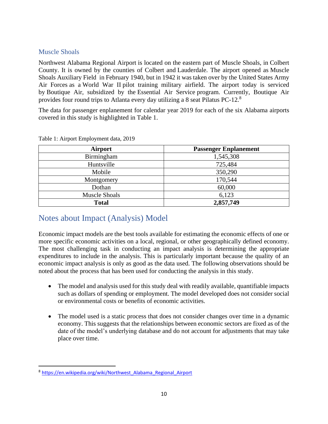#### <span id="page-9-0"></span>Muscle Shoals

Northwest Alabama Regional Airport is located on the eastern part of [Muscle Shoals,](https://en.wikipedia.org/wiki/Muscle_Shoals,_Alabama) in [Colbert](https://en.wikipedia.org/wiki/Colbert_County,_Alabama)  [County.](https://en.wikipedia.org/wiki/Colbert_County,_Alabama) It is owned by the counties of Colbert and [Lauderdale.](https://en.wikipedia.org/wiki/Lauderdale_County,_Alabama) The airport opened as [Muscle](https://en.wikipedia.org/wiki/Muscle_Shoals_Auxiliary_Field)  [Shoals Auxiliary Field](https://en.wikipedia.org/wiki/Muscle_Shoals_Auxiliary_Field) in February 1940, but in 1942 it was taken over by the [United States Army](https://en.wikipedia.org/wiki/United_States_Army_Air_Forces)  [Air Forces](https://en.wikipedia.org/wiki/United_States_Army_Air_Forces) as a [World War II](https://en.wikipedia.org/wiki/World_War_II) pilot training military airfield. The airport today is serviced by [Boutique Air,](https://en.wikipedia.org/wiki/Boutique_Air) subsidized by the [Essential Air Service](https://en.wikipedia.org/wiki/Essential_Air_Service) program. Currently, Boutique Air provides four round trips to Atlanta every day utilizing a 8 seat [Pilatus PC-12.](https://en.wikipedia.org/wiki/Pilatus_PC-12)<sup>8</sup>

The data for passenger enplanement for calendar year 2019 for each of the six Alabama airports covered in this study is highlighted in Table 1.

| <b>Airport</b>       | <b>Passenger Enplanement</b> |
|----------------------|------------------------------|
| Birmingham           | 1,545,308                    |
| Huntsville           | 725,484                      |
| Mobile               | 350,290                      |
| Montgomery           | 170,544                      |
| Dothan               | 60,000                       |
| <b>Muscle Shoals</b> | 6,123                        |
| <b>Total</b>         | 2,857,749                    |

<span id="page-9-2"></span>Table 1: Airport Employment data, 2019

# <span id="page-9-1"></span>Notes about Impact (Analysis) Model

Economic impact models are the best tools available for estimating the economic effects of one or more specific economic activities on a local, regional, or other geographically defined economy. The most challenging task in conducting an impact analysis is determining the appropriate expenditures to include in the analysis. This is particularly important because the quality of an economic impact analysis is only as good as the data used. The following observations should be noted about the process that has been used for conducting the analysis in this study.

- The model and analysis used for this study deal with readily available, quantifiable impacts such as dollars of spending or employment. The model developed does not consider social or environmental costs or benefits of economic activities.
- The model used is a static process that does not consider changes over time in a dynamic economy. This suggests that the relationships between economic sectors are fixed as of the date of the model's underlying database and do not account for adjustments that may take place over time.

<sup>&</sup>lt;sup>8</sup> [https://en.wikipedia.org/wiki/Northwest\\_Alabama\\_Regional\\_Airport](https://en.wikipedia.org/wiki/Northwest_Alabama_Regional_Airport)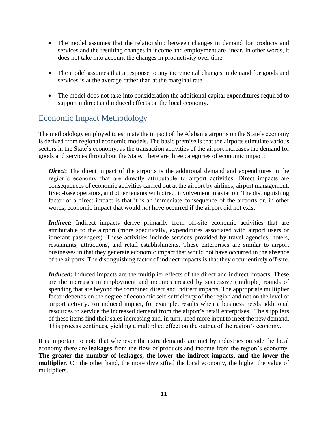- The model assumes that the relationship between changes in demand for products and services and the resulting changes in income and employment are linear. In other words, it does not take into account the changes in productivity over time.
- The model assumes that a response to any incremental changes in demand for goods and services is at the average rather than at the marginal rate.
- The model does not take into consideration the additional capital expenditures required to support indirect and induced effects on the local economy.

# <span id="page-10-0"></span>Economic Impact Methodology

The methodology employed to estimate the impact of the Alabama airports on the State's economy is derived from regional economic models. The basic premise is that the airports stimulate various sectors in the State's economy, as the transaction activities of the airport increases the demand for goods and services throughout the State. There are three categories of economic impact:

**Direct:** The direct impact of the airports is the additional demand and expenditures in the region's economy that are directly attributable to airport activities. Direct impacts are consequences of economic activities carried out at the airport by airlines, airport management, fixed-base operators, and other tenants with direct involvement in aviation. The distinguishing factor of a direct impact is that it is an immediate consequence of the airports or, in other words, economic impact that would *not* have occurred if the airport did not exist.

*Indirect***:** Indirect impacts derive primarily from off-site economic activities that are attributable to the airport (more specifically, expenditures associated with airport users or itinerant passengers). These activities include services provided by travel agencies, hotels, restaurants, attractions, and retail establishments. These enterprises are similar to airport businesses in that they generate economic impact that would not have occurred in the absence of the airports. The distinguishing factor of indirect impacts is that they occur entirely off-site.

*Induced***:** Induced impacts are the multiplier effects of the direct and indirect impacts. These are the increases in employment and incomes created by successive (multiple) rounds of spending that are beyond the combined direct and indirect impacts. The appropriate multiplier factor depends on the degree of economic self-sufficiency of the region and not on the level of airport activity. An induced impact, for example, results when a business needs additional resources to service the increased demand from the airport's retail enterprises. The suppliers of these items find their sales increasing and, in turn, need more input to meet the new demand. This process continues, yielding a multiplied effect on the output of the region's economy.

It is important to note that whenever the extra demands are met by industries outside the local economy there are **leakages** from the flow of products and income from the region's economy. **The greater the number of leakages, the lower the indirect impacts, and the lower the multiplier**. On the other hand, the more diversified the local economy, the higher the value of multipliers.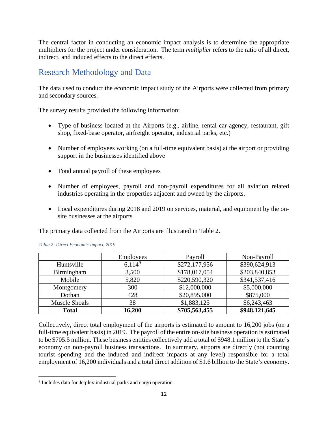The central factor in conducting an economic impact analysis is to determine the appropriate multipliers for the project under consideration. The term *multiplier* refers to the ratio of all direct, indirect, and induced effects to the direct effects.

## <span id="page-11-0"></span>Research Methodology and Data

The data used to conduct the economic impact study of the Airports were collected from primary and secondary sources.

The survey results provided the following information:

- Type of business located at the Airports (e.g., airline, rental car agency, restaurant, gift shop, fixed-base operator, airfreight operator, industrial parks, etc.)
- Number of employees working (on a full-time equivalent basis) at the airport or providing support in the businesses identified above
- Total annual payroll of these employees
- Number of employees, payroll and non-payroll expenditures for all aviation related industries operating in the properties adjacent and owned by the airports.
- Local expenditures during 2018 and 2019 on services, material, and equipment by the onsite businesses at the airports

The primary data collected from the Airports are illustrated in Table 2.

|                      | <b>Employees</b> | Payroll       | Non-Payroll   |
|----------------------|------------------|---------------|---------------|
| Huntsville           | $6,114^9$        | \$272,177,956 | \$390,624,913 |
| Birmingham           | 3,500            | \$178,017,054 | \$203,840,853 |
| Mobile               | 5,820            | \$220,590,320 | \$341,537,416 |
| Montgomery           | 300              | \$12,000,000  | \$5,000,000   |
| Dothan               | 428              | \$20,895,000  | \$875,000     |
| <b>Muscle Shoals</b> | 38               | \$1,883,125   | \$6,243,463   |
| <b>Total</b>         | 16,200           | \$705,563,455 | \$948,121,645 |

<span id="page-11-1"></span>

Collectively, direct total employment of the airports is estimated to amount to 16,200 jobs (on a full-time equivalent basis) in 2019. The payroll of the entire on-site business operation is estimated to be \$705.5 million. These business entities collectively add a total of \$948.1 million to the State's economy on non-payroll business transactions. In summary, airports are directly (not counting tourist spending and the induced and indirect impacts at any level) responsible for a total employment of 16,200 individuals and a total direct addition of \$1.6 billion to the State's economy.

<sup>9</sup> Includes data for Jetplex industrial parks and cargo operation.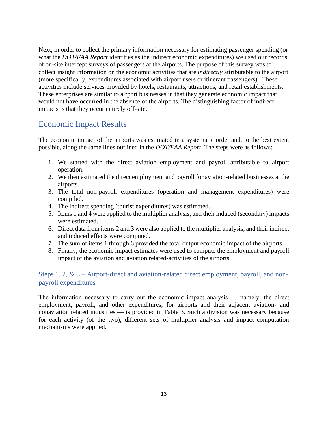Next, in order to collect the primary information necessary for estimating passenger spending (or what the *DOT/FAA Report* identifies as the indirect economic expenditures) we used our records of on-site intercept surveys of passengers at the airports. The purpose of this survey was to collect insight information on the economic activities that are *indirectly* attributable to the airport (more specifically, expenditures associated with airport users or itinerant passengers). These activities include services provided by hotels, restaurants, attractions, and retail establishments. These enterprises are similar to airport businesses in that they generate economic impact that would not have occurred in the absence of the airports. The distinguishing factor of indirect impacts is that they occur entirely off-site.

# <span id="page-12-0"></span>Economic Impact Results

The economic impact of the airports was estimated in a systematic order and, to the best extent possible, along the same lines outlined in the *DOT/FAA Report*. The steps were as follows:

- 1. We started with the direct aviation employment and payroll attributable to airport operation.
- 2. We then estimated the direct employment and payroll for aviation-related businesses at the airports.
- 3. The total non-payroll expenditures (operation and management expenditures) were compiled.
- 4. The indirect spending (tourist expenditures) was estimated.
- 5. Items 1 and 4 were applied to the multiplier analysis, and their induced (secondary) impacts were estimated.
- 6. Direct data from items 2 and 3 were also applied to the multiplier analysis, and their indirect and induced effects were computed.
- 7. The sum of items 1 through 6 provided the total output economic impact of the airports.
- 8. Finally, the economic impact estimates were used to compute the employment and payroll impact of the aviation and aviation related-activities of the airports.

#### <span id="page-12-1"></span>Steps 1, 2, & 3 – Airport-direct and aviation-related direct employment, payroll, and nonpayroll expenditures

The information necessary to carry out the economic impact analysis — namely, the direct employment, payroll, and other expenditures, for airports and their adjacent aviation- and nonaviation related industries — is provided in Table 3. Such a division was necessary because for each activity (of the two), different sets of multiplier analysis and impact computation mechanisms were applied.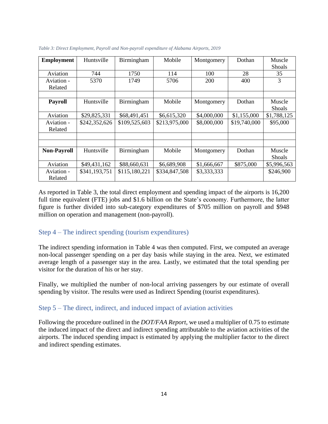| <b>Employment</b>     | Huntsville    | Birmingham    | Mobile        | Montgomery  | Dothan       | Muscle<br>Shoals        |
|-----------------------|---------------|---------------|---------------|-------------|--------------|-------------------------|
| Aviation              | 744           | 1750          | 114           | 100         | 28           | 35                      |
| Aviation -<br>Related | 5370          | 1749          | 5706          | <b>200</b>  | 400          | 3                       |
|                       |               |               |               |             |              |                         |
| <b>Payroll</b>        | Huntsville    | Birmingham    | Mobile        | Montgomery  | Dothan       | Muscle<br><b>Shoals</b> |
| Aviation              | \$29,825,331  | \$68,491,451  | \$6,615,320   | \$4,000,000 | \$1,155,000  | \$1,788,125             |
| Aviation -<br>Related | \$242,352,626 | \$109,525,603 | \$213,975,000 | \$8,000,000 | \$19,740,000 | \$95,000                |
|                       |               |               |               |             |              |                         |
|                       |               |               |               |             |              |                         |
| <b>Non-Payroll</b>    | Huntsville    | Birmingham    | Mobile        | Montgomery  | Dothan       | Muscle                  |
|                       |               |               |               |             |              | <b>Shoals</b>           |
| Aviation              | \$49,431,162  | \$88,660,631  | \$6,689,908   | \$1,666,667 | \$875,000    | \$5,996,563             |
| Aviation -<br>Related | \$341,193,751 | \$115,180,221 | \$334,847,508 | \$3,333,333 |              | \$246,900               |

<span id="page-13-2"></span>*Table 3: Direct Employment, Payroll and Non-payroll expenditure of Alabama Airports, 2019*

As reported in Table 3, the total direct employment and spending impact of the airports is 16,200 full time equivalent (FTE) jobs and \$1.6 billion on the State's economy. Furthermore, the latter figure is further divided into sub-category expenditures of \$705 million on payroll and \$948 million on operation and management (non-payroll).

#### <span id="page-13-0"></span>Step 4 – The indirect spending (tourism expenditures)

The indirect spending information in Table 4 was then computed. First, we computed an average non-local passenger spending on a per day basis while staying in the area. Next, we estimated average length of a passenger stay in the area. Lastly, we estimated that the total spending per visitor for the duration of his or her stay.

Finally, we multiplied the number of non-local arriving passengers by our estimate of overall spending by visitor. The results were used as Indirect Spending (tourist expenditures).

#### <span id="page-13-1"></span>Step 5 – The direct, indirect, and induced impact of aviation activities

Following the procedure outlined in the *DOT/FAA Report*, we used a multiplier of 0.75 to estimate the induced impact of the direct and indirect spending attributable to the aviation activities of the airports. The induced spending impact is estimated by applying the multiplier factor to the direct and indirect spending estimates.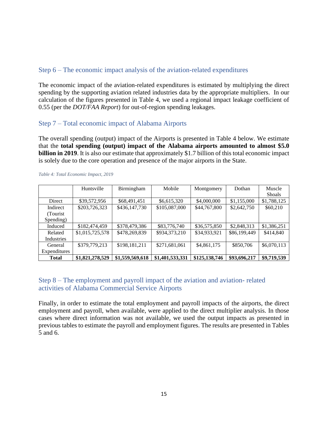#### <span id="page-14-0"></span>Step 6 – The economic impact analysis of the aviation-related expenditures

The economic impact of the aviation-related expenditures is estimated by multiplying the direct spending by the supporting aviation related industries data by the appropriate multipliers. In our calculation of the figures presented in Table 4, we used a regional impact leakage coefficient of 0.55 (per the *DOT/FAA Report*) for out-of-region spending leakages.

#### <span id="page-14-1"></span>Step 7 – Total economic impact of Alabama Airports

The overall spending (output) impact of the Airports is presented in Table 4 below. We estimate that the **total spending (output) impact of the Alabama airports amounted to almost \$5.0 billion in 2019**. It is also our estimate that approximately \$1.7 billion of this total economic impact is solely due to the core operation and presence of the major airports in the State.

|              | Huntsville      | Birmingham      | Mobile          | Montgomery    | Dothan       | Muscle        |
|--------------|-----------------|-----------------|-----------------|---------------|--------------|---------------|
|              |                 |                 |                 |               |              | <b>Shoals</b> |
| Direct       | \$39,572,956    | \$68,491,451    | \$6,615,320     | \$4,000,000   | \$1,155,000  | \$1,788,125   |
| Indirect     | \$203,726,323   | \$436,147,730   | \$105,087,000   | \$44,767,800  | \$2,642,750  | \$60,210      |
| (Tourist)    |                 |                 |                 |               |              |               |
| Spending)    |                 |                 |                 |               |              |               |
| Induced      | \$182,474,459   | \$378,479,386   | \$83,776,740    | \$36,575,850  | \$2,848,313  | \$1,386,251   |
| Related      | \$1,015,725,578 | \$478,269,839   | \$934,373,210   | \$34,933,921  | \$86,199,449 | \$414,840     |
| Industries   |                 |                 |                 |               |              |               |
| General      | \$379,779,213   | \$198,181,211   | \$271,681,061   | \$4,861,175   | \$850,706    | \$6,070,113   |
| Expenditures |                 |                 |                 |               |              |               |
| <b>Total</b> | \$1,821,278,529 | \$1,559,569,618 | \$1,401,533,331 | \$125,138,746 | \$93,696,217 | \$9,719,539   |

<span id="page-14-3"></span>*Table 4: Total Economic Impact, 2019*

#### <span id="page-14-2"></span>Step 8 – The employment and payroll impact of the aviation and aviation- related activities of Alabama Commercial Service Airports

Finally, in order to estimate the total employment and payroll impacts of the airports, the direct employment and payroll, when available, were applied to the direct multiplier analysis. In those cases where direct information was not available, we used the output impacts as presented in previous tables to estimate the payroll and employment figures. The results are presented in Tables 5 and 6.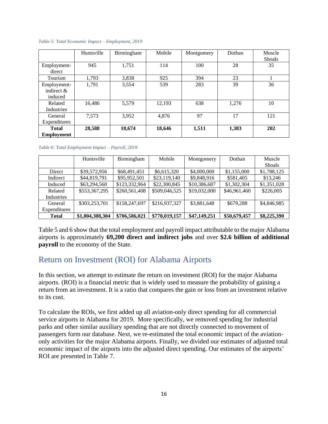|                                         | Huntsville | Birmingham | Mobile | Montgomery | Dothan | Muscle<br><b>Shoals</b> |
|-----------------------------------------|------------|------------|--------|------------|--------|-------------------------|
| Employment-<br>direct                   | 945        | 1,751      | 114    | 100        | 28     | 35                      |
| Tourism                                 | 1,793      | 3.838      | 925    | 394        | 23     |                         |
| Employment-<br>indirect $\&$<br>induced | 1,791      | 3,554      | 539    | 283        | 39     | 36                      |
| Related<br>Industries                   | 16,486     | 5,579      | 12,193 | 638        | 1,276  | 10                      |
| General<br>Expenditures                 | 7.573      | 3,952      | 4.876  | 97         | 17     | 121                     |
| <b>Total</b><br><b>Employment</b>       | 28,588     | 18,674     | 18,646 | 1,511      | 1,383  | 202                     |

<span id="page-15-1"></span>*Table 5: Total Economic Impact – Employment, 2019* 

<span id="page-15-2"></span>*Table 6: Total Employment Impact – Payroll, 2019* 

|              | Huntsville      | Birmingham    | Mobile        | Montgomery   | Dothan       | Muscle        |
|--------------|-----------------|---------------|---------------|--------------|--------------|---------------|
|              |                 |               |               |              |              | <b>Shoals</b> |
| Direct       | \$39,572,956    | \$68,491,451  | \$6,615,320   | \$4,000,000  | \$1,155,000  | \$1,788,125   |
| Indirect     | \$44,819,791    | \$95,952,501  | \$23,119,140  | \$9,848,916  | \$581,405    | \$13,246      |
| Induced      | \$63,294,560    | \$123,332,964 | \$22,300,845  | \$10,386,687 | \$1,302,304  | \$1,351,028   |
| Related      | \$553,367,295   | \$260,561,408 | \$509,046,525 | \$19,032,000 | \$46,961,460 | \$226,005     |
| Industries   |                 |               |               |              |              |               |
| General      | \$303,253,701   | \$158,247,697 | \$216,937,327 | \$3,881,648  | \$679,288    | \$4,846,985   |
| Expenditures |                 |               |               |              |              |               |
| Total        | \$1,004,308,304 | \$706,586,021 | \$778,019,157 | \$47,149,251 | \$50,679,457 | \$8,225,390   |

Table 5 and 6 show that the total employment and payroll impact attributable to the major Alabama airports is approximately **69,200 direct and indirect jobs** and over **\$2.6 billion of additional payroll** to the economy of the State.

### <span id="page-15-0"></span>Return on Investment (ROI) for Alabama Airports

In this section, we attempt to estimate the return on investment (ROI) for the major Alabama airports. (ROI) is a financial metric that is widely used to measure the probability of gaining a return from an investment. It is a ratio that compares the gain or loss from an investment relative to its cost.

To calculate the ROIs, we first added up all aviation-only direct spending for all commercial service airports in Alabama for 2019. More specifically, we removed spending for industrial parks and other similar auxiliary spending that are not directly connected to movement of passengers form our database. Next, we re-estimated the total economic impact of the aviationonly activities for the major Alabama airports. Finally, we divided our estimates of adjusted total economic impact of the airports into the adjusted direct spending. Our estimates of the airports' ROI are presented in Table 7.